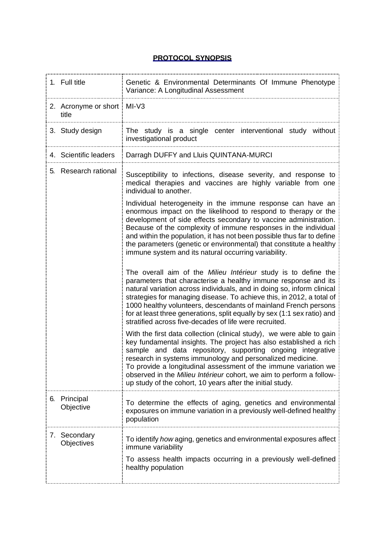## **PROTOCOL SYNOPSIS**

| 1. Full title                         | Genetic & Environmental Determinants Of Immune Phenotype<br>Variance: A Longitudinal Assessment                                                                                                                                                                                                                                                                                                                                                                                              |
|---------------------------------------|----------------------------------------------------------------------------------------------------------------------------------------------------------------------------------------------------------------------------------------------------------------------------------------------------------------------------------------------------------------------------------------------------------------------------------------------------------------------------------------------|
| 2. Acronyme or short   MI-V3<br>title |                                                                                                                                                                                                                                                                                                                                                                                                                                                                                              |
| 3. Study design                       | The study is a single center interventional study without<br>investigational product                                                                                                                                                                                                                                                                                                                                                                                                         |
| 4. Scientific leaders                 | Darragh DUFFY and Lluis QUINTANA-MURCI                                                                                                                                                                                                                                                                                                                                                                                                                                                       |
| 5. Research rational                  | Susceptibility to infections, disease severity, and response to<br>medical therapies and vaccines are highly variable from one<br>individual to another.                                                                                                                                                                                                                                                                                                                                     |
|                                       | Individual heterogeneity in the immune response can have an<br>enormous impact on the likelihood to respond to therapy or the<br>development of side effects secondary to vaccine administration.<br>Because of the complexity of immune responses in the individual<br>and within the population, it has not been possible thus far to define<br>the parameters (genetic or environmental) that constitute a healthy<br>immune system and its natural occurring variability.                |
|                                       | The overall aim of the Milieu Intérieur study is to define the<br>parameters that characterise a healthy immune response and its<br>natural variation across individuals, and in doing so, inform clinical<br>strategies for managing disease. To achieve this, in 2012, a total of<br>1000 healthy volunteers, descendants of mainland French persons<br>for at least three generations, split equally by sex (1:1 sex ratio) and<br>stratified across five-decades of life were recruited. |
|                                       | With the first data collection (clinical study), we were able to gain<br>key fundamental insights. The project has also established a rich<br>sample and data repository, supporting ongoing integrative<br>research in systems immunology and personalized medicine.<br>To provide a longitudinal assessment of the immune variation we<br>observed in the Milieu Intérieur cohort, we aim to perform a follow-<br>up study of the cohort, 10 years after the initial study.                |
| Principal<br>6.<br>Objective          | To determine the effects of aging, genetics and environmental<br>exposures on immune variation in a previously well-defined healthy<br>population                                                                                                                                                                                                                                                                                                                                            |
| 7. Secondary<br>Objectives            | To identify how aging, genetics and environmental exposures affect<br>immune variability<br>To assess health impacts occurring in a previously well-defined<br>healthy population                                                                                                                                                                                                                                                                                                            |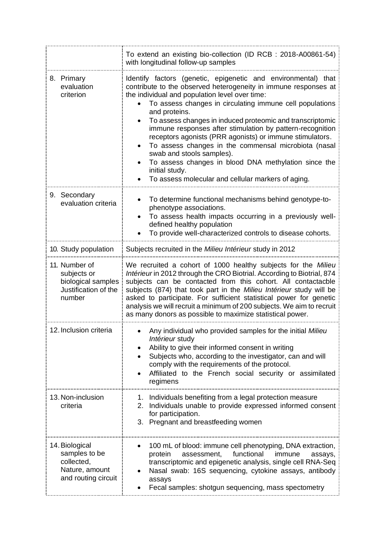|                                                                                        | To extend an existing bio-collection (ID RCB : 2018-A00861-54)<br>with longitudinal follow-up samples                                                                                                                                                                                                                                                                                                                                                                                                                                                                                                                                                                      |
|----------------------------------------------------------------------------------------|----------------------------------------------------------------------------------------------------------------------------------------------------------------------------------------------------------------------------------------------------------------------------------------------------------------------------------------------------------------------------------------------------------------------------------------------------------------------------------------------------------------------------------------------------------------------------------------------------------------------------------------------------------------------------|
| 8. Primary<br>evaluation<br>criterion                                                  | Identify factors (genetic, epigenetic and environmental) that<br>contribute to the observed heterogeneity in immune responses at<br>the individual and population level over time:<br>To assess changes in circulating immune cell populations<br>and proteins.<br>To assess changes in induced proteomic and transcriptomic<br>immune responses after stimulation by pattern-recognition<br>receptors agonists (PRR agonists) or immune stimulators.<br>To assess changes in the commensal microbiota (nasal<br>swab and stools samples).<br>To assess changes in blood DNA methylation since the<br>initial study.<br>To assess molecular and cellular markers of aging. |
| 9. Secondary<br>evaluation criteria                                                    | To determine functional mechanisms behind genotype-to-<br>phenotype associations.<br>To assess health impacts occurring in a previously well-<br>defined healthy population<br>To provide well-characterized controls to disease cohorts.                                                                                                                                                                                                                                                                                                                                                                                                                                  |
| 10. Study population                                                                   | Subjects recruited in the Milieu Intérieur study in 2012                                                                                                                                                                                                                                                                                                                                                                                                                                                                                                                                                                                                                   |
| 11. Number of<br>subjects or<br>biological samples<br>Justification of the<br>number   | We recruited a cohort of 1000 healthy subjects for the Milieu<br>Intérieur in 2012 through the CRO Biotrial. According to Biotrial, 874<br>subjects can be contacted from this cohort. All contactacble<br>subjects (874) that took part in the Milieu Intérieur study will be<br>asked to participate. For sufficient statistical power for genetic<br>analysis we will recruit a minimum of 200 subjects. We aim to recruit<br>as many donors as possible to maximize statistical power.                                                                                                                                                                                 |
| 12. Inclusion criteria                                                                 | Any individual who provided samples for the initial Milieu<br>Intérieur study<br>Ability to give their informed consent in writing<br>Subjects who, according to the investigator, can and will<br>comply with the requirements of the protocol.<br>Affiliated to the French social security or assimilated<br>regimens                                                                                                                                                                                                                                                                                                                                                    |
| 13. Non-inclusion<br>criteria                                                          | Individuals benefiting from a legal protection measure<br>1.<br>Individuals unable to provide expressed informed consent<br>2.<br>for participation.<br>3. Pregnant and breastfeeding women                                                                                                                                                                                                                                                                                                                                                                                                                                                                                |
| 14. Biological<br>samples to be<br>collected,<br>Nature, amount<br>and routing circuit | 100 mL of blood: immune cell phenotyping, DNA extraction,<br>functional<br>assessment,<br>protein<br>immune<br>assays,<br>transcriptomic and epigenetic analysis, single cell RNA-Seq<br>Nasal swab: 16S sequencing, cytokine assays, antibody<br>assays<br>Fecal samples: shotgun sequencing, mass spectometry                                                                                                                                                                                                                                                                                                                                                            |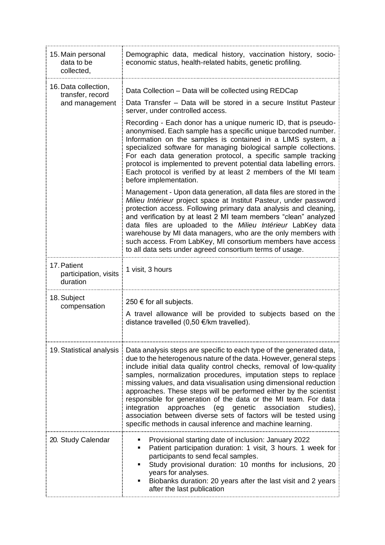| 15. Main personal<br>data to be<br>collected,              | Demographic data, medical history, vaccination history, socio-<br>economic status, health-related habits, genetic profiling.                                                                                                                                                                                                                                                                                                                                                                                                                                                                                                                                                                                   |
|------------------------------------------------------------|----------------------------------------------------------------------------------------------------------------------------------------------------------------------------------------------------------------------------------------------------------------------------------------------------------------------------------------------------------------------------------------------------------------------------------------------------------------------------------------------------------------------------------------------------------------------------------------------------------------------------------------------------------------------------------------------------------------|
| 16. Data collection,<br>transfer, record<br>and management | Data Collection - Data will be collected using REDCap                                                                                                                                                                                                                                                                                                                                                                                                                                                                                                                                                                                                                                                          |
|                                                            | Data Transfer – Data will be stored in a secure Institut Pasteur<br>server, under controlled access.                                                                                                                                                                                                                                                                                                                                                                                                                                                                                                                                                                                                           |
|                                                            | Recording - Each donor has a unique numeric ID, that is pseudo-<br>anonymised. Each sample has a specific unique barcoded number.<br>Information on the samples is contained in a LIMS system, a<br>specialized software for managing biological sample collections.<br>For each data generation protocol, a specific sample tracking<br>protocol is implemented to prevent potential data labelling errors.<br>Each protocol is verified by at least 2 members of the MI team<br>before implementation.                                                                                                                                                                                                       |
|                                                            | Management - Upon data generation, all data files are stored in the<br>Milieu Intérieur project space at Institut Pasteur, under password<br>protection access. Following primary data analysis and cleaning,<br>and verification by at least 2 MI team members "clean" analyzed<br>data files are uploaded to the Milieu Intérieur LabKey data<br>warehouse by MI data managers, who are the only members with<br>such access. From LabKey, MI consortium members have access<br>to all data sets under agreed consortium terms of usage.                                                                                                                                                                     |
| 17. Patient<br>participation, visits<br>duration           | 1 visit, 3 hours                                                                                                                                                                                                                                                                                                                                                                                                                                                                                                                                                                                                                                                                                               |
| 18. Subject<br>compensation                                | 250 € for all subjects.<br>A travel allowance will be provided to subjects based on the<br>distance travelled (0,50 €/km travelled).                                                                                                                                                                                                                                                                                                                                                                                                                                                                                                                                                                           |
| 19. Statistical analysis                                   | Data analysis steps are specific to each type of the generated data,<br>due to the heterogenous nature of the data. However, general steps<br>include initial data quality control checks, removal of low-quality<br>samples, normalization procedures, imputation steps to replace<br>missing values, and data visualisation using dimensional reduction<br>approaches. These steps will be performed either by the scientist<br>responsible for generation of the data or the MI team. For data<br>integration<br>approaches<br>genetic<br>association<br>(eg<br>studies),<br>association between diverse sets of factors will be tested using<br>specific methods in causal inference and machine learning. |
| 20. Study Calendar                                         | Provisional starting date of inclusion: January 2022<br>Patient participation duration: 1 visit, 3 hours. 1 week for<br>participants to send fecal samples.<br>Study provisional duration: 10 months for inclusions, 20<br>years for analyses.<br>Biobanks duration: 20 years after the last visit and 2 years<br>after the last publication                                                                                                                                                                                                                                                                                                                                                                   |